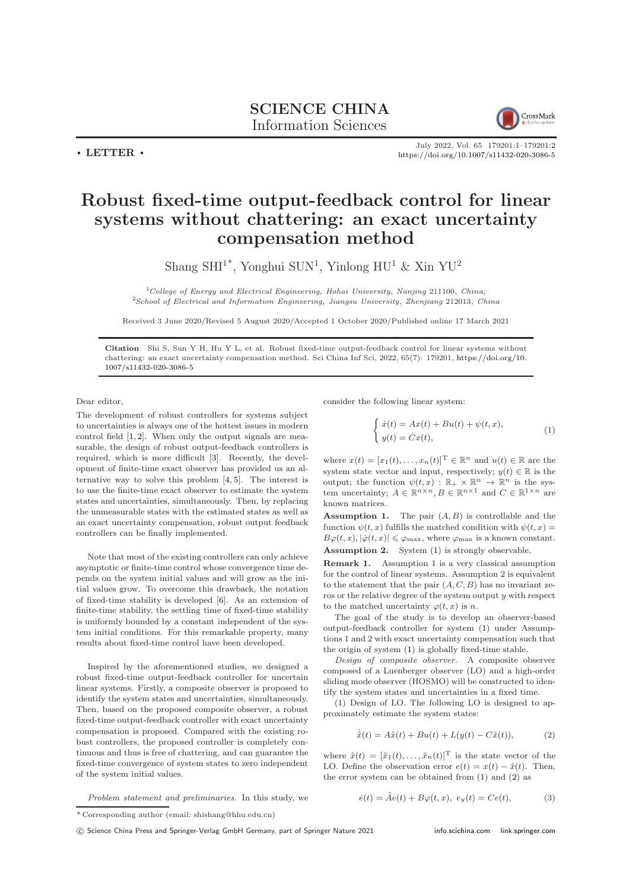

July 2022, Vol. 65 179201:1–179201[:2](#page-1-0) <https://doi.org/10.1007/s11432-020-3086-5>

## Robust fixed-time output-feedback control for linear systems without chattering: an exact uncertainty compensation method

Shang SHI<sup>1\*</sup>, Yonghui SUN<sup>1</sup>, Yinlong HU<sup>1</sup> & Xin YU<sup>2</sup>

 $1$ College of Energy and Electrical Engineering, Hohai University, Nanjing 211100, China; <sup>2</sup>School of Electrical and Information Engineering, Jiangsu University, Zhenjiang 212013, China

Received 3 June 2020/Revised 5 August 2020/Accepted 1 October 2020/Published online 17 March 2021

Citation Shi S, Sun Y H, Hu Y L, et al. Robust fixed-time output-feedback control for linear systems without chattering: an exact uncertainty compensation method. Sci China Inf Sci, 2022, 65(7): 179201, [https://doi.org/10.](https://doi.org/10.1007/s11432-020-3086-5) [1007/s11432-020-3086-5](https://doi.org/10.1007/s11432-020-3086-5)

Dear editor,

 $\cdot$  LETTER  $\cdot$ 

The development of robust controllers for systems subject to uncertainties is always one of the hottest issues in modern control field  $[1, 2]$  $[1, 2]$ . When only the output signals are measurable, the design of robust output-feedback controllers is required, which is more difficult [\[3\]](#page-1-3). Recently, the development of finite-time exact observer has provided us an alternative way to solve this problem [\[4,](#page-1-4) [5\]](#page-1-5). The interest is to use the finite-time exact observer to estimate the system states and uncertainties, simultaneously. Then, by replacing the unmeasurable states with the estimated states as well as an exact uncertainty compensation, robust output feedback controllers can be finally implemented.

Note that most of the existing controllers can only achieve asymptotic or finite-time control whose convergence time depends on the system initial values and will grow as the initial values grow. To overcome this drawback, the notation of fixed-time stability is developed [\[6\]](#page-1-6). As an extension of finite-time stability, the settling time of fixed-time stability is uniformly bounded by a constant independent of the system initial conditions. For this remarkable property, many results about fixed-time control have been developed.

Inspired by the aforementioned studies, we designed a robust fixed-time output-feedback controller for uncertain linear systems. Firstly, a composite observer is proposed to identify the system states and uncertainties, simultaneously. Then, based on the proposed composite observer, a robust fixed-time output-feedback controller with exact uncertainty compensation is proposed. Compared with the existing robust controllers, the proposed controller is completely continuous and thus is free of chattering, and can guarantee the fixed-time convergence of system states to zero independent of the system initial values.

Problem statement and preliminaries. In this study, we

consider the following linear system:

<span id="page-0-0"></span>
$$
\begin{cases}\n\dot{x}(t) = Ax(t) + Bu(t) + \psi(t, x), \\
y(t) = Cx(t),\n\end{cases} (1)
$$

where  $x(t) = [x_1(t), \ldots, x_n(t)]^T \in \mathbb{R}^n$  and  $u(t) \in \mathbb{R}$  are the system state vector and input, respectively;  $y(t) \in \mathbb{R}$  is the output; the function  $\psi(t,x) : \mathbb{R}_+ \times \mathbb{R}^n \to \mathbb{R}^n$  is the system uncertainty;  $A \in \mathbb{R}^{n \times n}$ ,  $B \in \mathbb{R}^{n \times 1}$  and  $C \in \mathbb{R}^{1 \times n}$  are known matrices.

**Assumption 1.** The pair  $(A, B)$  is controllable and the function  $\psi(t, x)$  fulfills the matched condition with  $\psi(t, x) =$  $B\varphi(t,x), |\dot{\varphi}(t,x)| \leq \varphi_{\text{max}}$ , where  $\varphi_{\text{max}}$  is a known constant. Assumption 2. System [\(1\)](#page-0-0) is strongly observable.

Remark 1. Assumption 1 is a very classical assumption for the control of linear systems. Assumption 2 is equivalent to the statement that the pair  $(A, C, B)$  has no invariant zeros or the relative degree of the system output  $y$  with respect to the matched uncertainty  $\varphi(t, x)$  is n.

The goal of the study is to develop an observer-based output-feedback controller for system [\(1\)](#page-0-0) under Assumptions 1 and 2 with exact uncertainty compensation such that the origin of system [\(1\)](#page-0-0) is globally fixed-time stable.

Design of composite observer. A composite observer composed of a Luenberger observer (LO) and a high-order sliding mode observer (HOSMO) will be constructed to identify the system states and uncertainties in a fixed time.

(1) Design of LO. The following LO is designed to approximately estimate the system states:

<span id="page-0-1"></span>
$$
\dot{\tilde{x}}(t) = A\tilde{x}(t) + Bu(t) + L(y(t) - C\tilde{x}(t)),\tag{2}
$$

where  $\tilde{x}(t) = [\tilde{x}_1(t), \ldots, \tilde{x}_n(t)]^{\mathrm{T}}$  is the state vector of the LO. Define the observation error  $e(t) = x(t) - \tilde{x}(t)$ . Then, the error system can be obtained from [\(1\)](#page-0-0) and [\(2\)](#page-0-1) as

<span id="page-0-2"></span>
$$
\dot{e}(t) = \tilde{A}e(t) + B\varphi(t, x), \ e_y(t) = Ce(t), \tag{3}
$$

<sup>\*</sup> Corresponding author (email: shishang@hhu.edu.cn)

c Science China Press and Springer-Verlag GmbH Germany, part of Springer Nature 2021 <info.scichina.com><link.springer.com>